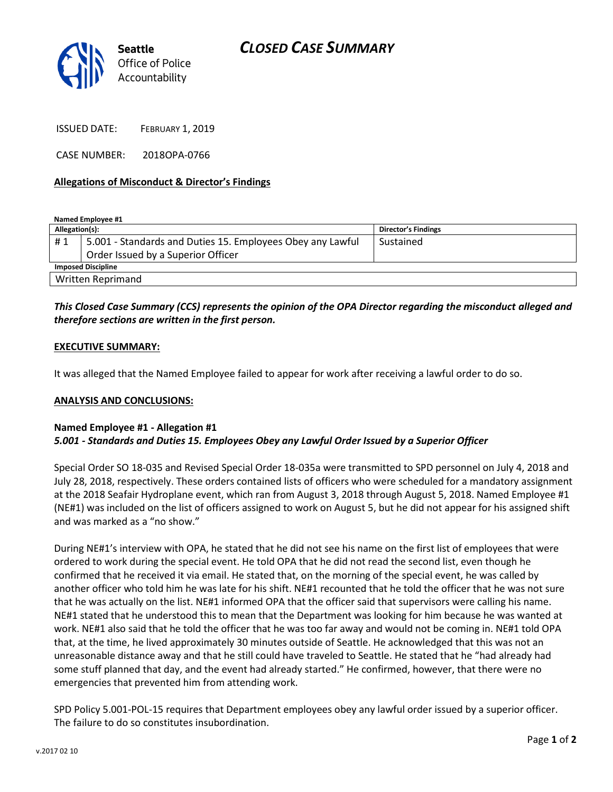

ISSUED DATE: FEBRUARY 1, 2019

CASE NUMBER: 2018OPA-0766

## **Allegations of Misconduct & Director's Findings**

**Named Employee #1**

| Allegation(s):            |                                                            | Director's Findings |
|---------------------------|------------------------------------------------------------|---------------------|
| #1                        | 5.001 - Standards and Duties 15. Employees Obey any Lawful | Sustained           |
|                           | Order Issued by a Superior Officer                         |                     |
| <b>Imposed Discipline</b> |                                                            |                     |
| <b>Written Reprimand</b>  |                                                            |                     |

# *This Closed Case Summary (CCS) represents the opinion of the OPA Director regarding the misconduct alleged and therefore sections are written in the first person.*

### **EXECUTIVE SUMMARY:**

It was alleged that the Named Employee failed to appear for work after receiving a lawful order to do so.

#### **ANALYSIS AND CONCLUSIONS:**

## **Named Employee #1 - Allegation #1** *5.001 - Standards and Duties 15. Employees Obey any Lawful Order Issued by a Superior Officer*

Special Order SO 18-035 and Revised Special Order 18-035a were transmitted to SPD personnel on July 4, 2018 and July 28, 2018, respectively. These orders contained lists of officers who were scheduled for a mandatory assignment at the 2018 Seafair Hydroplane event, which ran from August 3, 2018 through August 5, 2018. Named Employee #1 (NE#1) was included on the list of officers assigned to work on August 5, but he did not appear for his assigned shift and was marked as a "no show."

During NE#1's interview with OPA, he stated that he did not see his name on the first list of employees that were ordered to work during the special event. He told OPA that he did not read the second list, even though he confirmed that he received it via email. He stated that, on the morning of the special event, he was called by another officer who told him he was late for his shift. NE#1 recounted that he told the officer that he was not sure that he was actually on the list. NE#1 informed OPA that the officer said that supervisors were calling his name. NE#1 stated that he understood this to mean that the Department was looking for him because he was wanted at work. NE#1 also said that he told the officer that he was too far away and would not be coming in. NE#1 told OPA that, at the time, he lived approximately 30 minutes outside of Seattle. He acknowledged that this was not an unreasonable distance away and that he still could have traveled to Seattle. He stated that he "had already had some stuff planned that day, and the event had already started." He confirmed, however, that there were no emergencies that prevented him from attending work.

SPD Policy 5.001-POL-15 requires that Department employees obey any lawful order issued by a superior officer. The failure to do so constitutes insubordination.